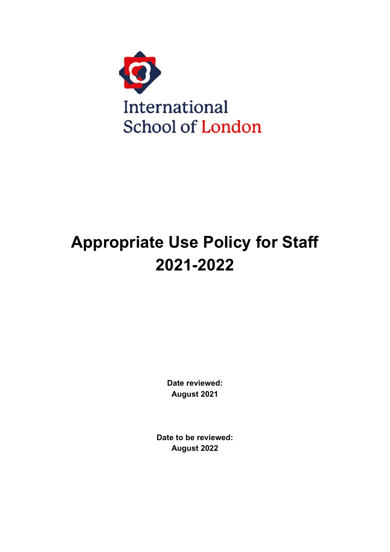

# **Appropriate Use Policy for Staff 2021-2022**

**Date reviewed: August 2021**

**Date to be reviewed: August 2022**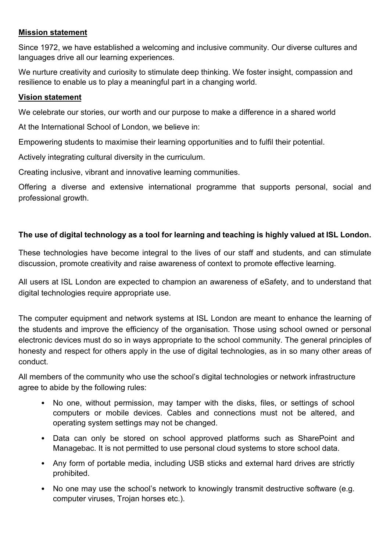### **Mission statement**

Since 1972, we have established a welcoming and inclusive community. Our diverse cultures and languages drive all our learning experiences.

We nurture creativity and curiosity to stimulate deep thinking. We foster insight, compassion and resilience to enable us to play a meaningful part in a changing world.

#### **Vision statement**

We celebrate our stories, our worth and our purpose to make a difference in a shared world

At the International School of London, we believe in: 

Empowering students to maximise their learning opportunities and to fulfil their potential. 

Actively integrating cultural diversity in the curriculum. 

Creating inclusive, vibrant and innovative learning communities.

Offering a diverse and extensive international programme that supports personal, social and professional growth.

## **The use of digital technology as a tool for learning and teaching is highly valued at ISL London.**

These technologies have become integral to the lives of our staff and students, and can stimulate discussion, promote creativity and raise awareness of context to promote effective learning.

All users at ISL London are expected to champion an awareness of eSafety, and to understand that digital technologies require appropriate use.

The computer equipment and network systems at ISL London are meant to enhance the learning of the students and improve the efficiency of the organisation. Those using school owned or personal electronic devices must do so in ways appropriate to the school community. The general principles of honesty and respect for others apply in the use of digital technologies, as in so many other areas of conduct.

All members of the community who use the school's digital technologies or network infrastructure agree to abide by the following rules:

- No one, without permission, may tamper with the disks, files, or settings of school computers or mobile devices. Cables and connections must not be altered, and operating system settings may not be changed.
- Data can only be stored on school approved platforms such as SharePoint and Managebac. It is not permitted to use personal cloud systems to store school data.
- Any form of portable media, including USB sticks and external hard drives are strictly prohibited.
- No one may use the school's network to knowingly transmit destructive software (e.g. computer viruses, Trojan horses etc.).